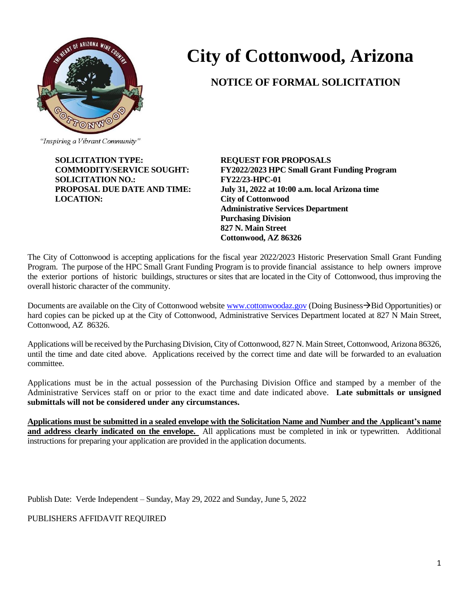

# **City of Cottonwood, Arizona**

# **NOTICE OF FORMAL SOLICITATION**

**SOLICITATION TYPE: REQUEST FOR PROPOSALS SOLICITATION NO.: FY22/23-HPC-01 LOCATION: City of Cottonwood**

**COMMODITY/SERVICE SOUGHT: FY2022/2023 HPC Small Grant Funding Program PROPOSAL DUE DATE AND TIME: July 31, 2022 at 10:00 a.m. local Arizona time Administrative Services Department Purchasing Division 827 N. Main Street Cottonwood, AZ 86326**

The City of Cottonwood is accepting applications for the fiscal year 2022/2023 Historic Preservation Small Grant Funding Program. The purpose of the HPC Small Grant Funding Program is to provide financial assistance to help owners improve the exterior portions of historic buildings, structures or sites that are located in the City of Cottonwood, thus improving the overall historic character of the community.

Documents are available on the City of Cottonwood website [www.cottonwoodaz.gov](http://www.cottonwoodaz.gov/) (Doing Business→Bid Opportunities) or hard copies can be picked up at the City of Cottonwood, Administrative Services Department located at 827 N Main Street, Cottonwood, AZ 86326.

Applications will be received by the Purchasing Division, City of Cottonwood, 827 N. Main Street, Cottonwood, Arizona 86326, until the time and date cited above. Applications received by the correct time and date will be forwarded to an evaluation committee.

Applications must be in the actual possession of the Purchasing Division Office and stamped by a member of the Administrative Services staff on or prior to the exact time and date indicated above. **Late submittals or unsigned submittals will not be considered under any circumstances.**

**Applications must be submitted in a sealed envelope with the Solicitation Name and Number and the Applicant's name and address clearly indicated on the envelope.** All applications must be completed in ink or typewritten. Additional instructions for preparing your application are provided in the application documents.

Publish Date: Verde Independent – Sunday, May 29, 2022 and Sunday, June 5, 2022

PUBLISHERS AFFIDAVIT REQUIRED

<sup>&</sup>quot;Inspiring a Vibrant Community"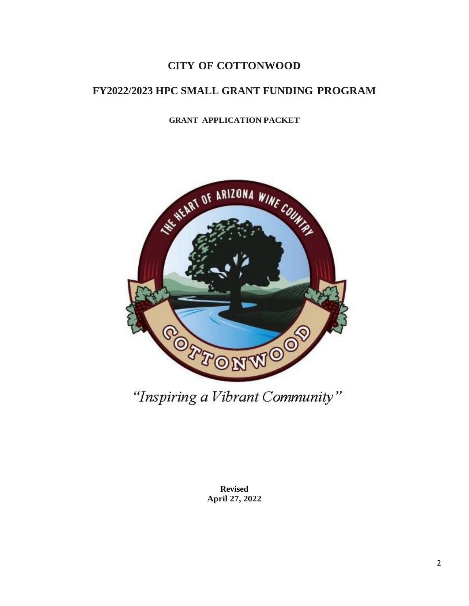# **CITY OF COTTONWOOD**

# **FY2022/2023 HPC SMALL GRANT FUNDING PROGRAM**

# **GRANT APPLICATION PACKET**



**Revised April 27, 2022**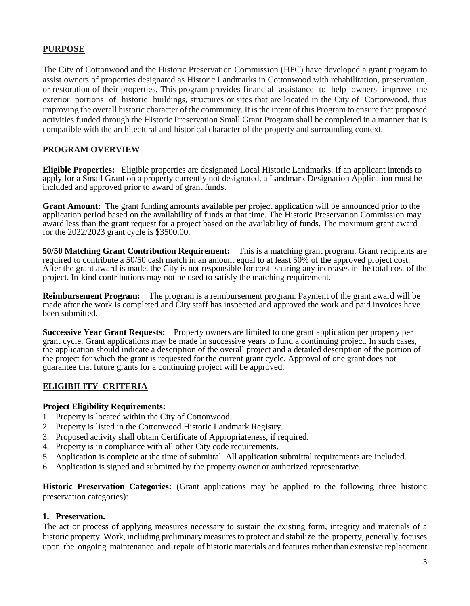#### **PURPOSE**

The City of Cottonwood and the Historic Preservation Commission (HPC) have developed a grant program to assist owners of properties designated as Historic Landmarks in Cottonwood with rehabilitation, preservation, or restoration of their properties. This program provides financial assistance to help owners improve the exterior portions of historic buildings, structures or sites that are located in the City of Cottonwood, thus improving the overall historic character of the community. It is the intent of this Program to ensure that proposed activities funded through the Historic Preservation Small Grant Program shall be completed in a manner that is compatible with the architectural and historical character of the property and surrounding context.

#### **PROGRAM OVERVIEW**

**Eligible Properties:** Eligible properties are designated Local Historic Landmarks. If an applicant intends to apply for a Small Grant on a property currently not designated, a Landmark Designation Application must be included and approved prior to award of grant funds.

**Grant Amount:** The grant funding amounts available per project application will be announced prior to the application period based on the availability of funds at that time. The Historic Preservation Commission may award less than the grant request for a project based on the availability of funds. The maximum grant award for the 2022/2023 grant cycle is \$3500.00.

**50/50 Matching Grant Contribution Requirement:** This is a matching grant program. Grant recipients are required to contribute a 50/50 cash match in an amount equal to at least 50% of the approved project cost. After the grant award is made, the City is not responsible for cost- sharing any increases in the total cost of the project. In-kind contributions may not be used to satisfy the matching requirement.

**Reimbursement Program:** The program is a reimbursement program. Payment of the grant award will be made after the work is completed and City staff has inspected and approved the work and paid invoices have been submitted.

**Successive Year Grant Requests:** Property owners are limited to one grant application per property per grant cycle. Grant applications may be made in successive years to fund a continuing project. In such cases, the application should indicate a description of the overall project and a detailed description of the portion of the project for which the grant is requested for the current grant cycle. Approval of one grant does not guarantee that future grants for a continuing project will be approved.

#### **ELIGIBILITY CRITERIA**

#### **Project Eligibility Requirements:**

- 1. Property is located within the City of Cottonwood.
- 2. Property is listed in the Cottonwood Historic Landmark Registry.
- 3. Proposed activity shall obtain Certificate of Appropriateness, if required.
- 4. Property is in compliance with all other City code requirements.
- 5. Application is complete at the time of submittal. All application submittal requirements are included.
- 6. Application is signed and submitted by the property owner or authorized representative.

**Historic Preservation Categories:** (Grant applications may be applied to the following three historic preservation categories):

#### **1. Preservation.**

The act or process of applying measures necessary to sustain the existing form, integrity and materials of a historic property. Work, including preliminary measures to protect and stabilize the property, generally focuses upon the ongoing maintenance and repair of historic materials and features rather than extensive replacement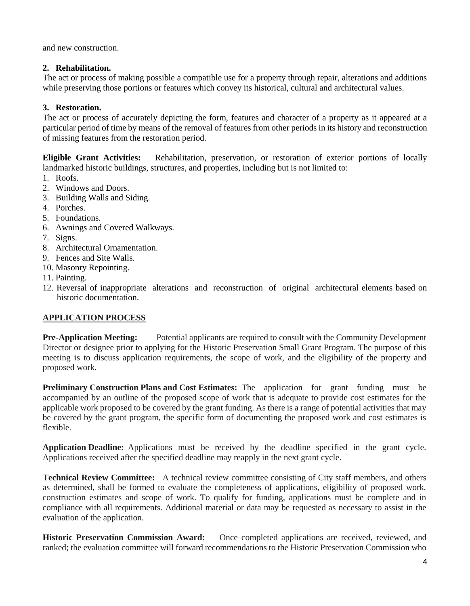and new construction.

### **2. Rehabilitation.**

The act or process of making possible a compatible use for a property through repair, alterations and additions while preserving those portions or features which convey its historical, cultural and architectural values.

## **3. Restoration.**

The act or process of accurately depicting the form, features and character of a property as it appeared at a particular period of time by means of the removal of features from other periods in its history and reconstruction of missing features from the restoration period.

**Eligible Grant Activities:** Rehabilitation, preservation, or restoration of exterior portions of locally landmarked historic buildings, structures, and properties, including but is not limited to:

- 1. Roofs.
- 2. Windows and Doors.
- 3. Building Walls and Siding.
- 4. Porches.
- 5. Foundations.
- 6. Awnings and Covered Walkways.
- 7. Signs.
- 8. Architectural Ornamentation.
- 9. Fences and Site Walls.
- 10. Masonry Repointing.
- 11. Painting.
- 12. Reversal of inappropriate alterations and reconstruction of original architectural elements based on historic documentation.

#### **APPLICATION PROCESS**

**Pre-Application Meeting:** Potential applicants are required to consult with the Community Development Director or designee prior to applying for the Historic Preservation Small Grant Program. The purpose of this meeting is to discuss application requirements, the scope of work, and the eligibility of the property and proposed work.

**Preliminary Construction Plans and Cost Estimates:** The application for grant funding must be accompanied by an outline of the proposed scope of work that is adequate to provide cost estimates for the applicable work proposed to be covered by the grant funding. As there is a range of potential activities that may be covered by the grant program, the specific form of documenting the proposed work and cost estimates is flexible.

**Application Deadline:** Applications must be received by the deadline specified in the grant cycle. Applications received after the specified deadline may reapply in the next grant cycle.

**Technical Review Committee:** A technical review committee consisting of City staff members, and others as determined, shall be formed to evaluate the completeness of applications, eligibility of proposed work, construction estimates and scope of work. To qualify for funding, applications must be complete and in compliance with all requirements. Additional material or data may be requested as necessary to assist in the evaluation of the application.

**Historic Preservation Commission Award:** Once completed applications are received, reviewed, and ranked; the evaluation committee will forward recommendations to the Historic Preservation Commission who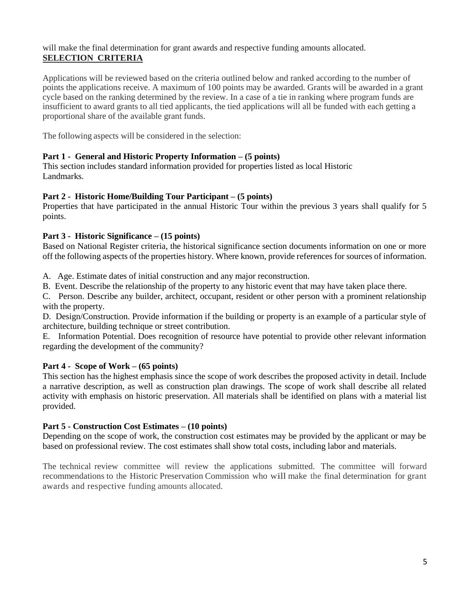#### will make the final determination for grant awards and respective funding amounts allocated. **SELECTION CRITERIA**

Applications will be reviewed based on the criteria outlined below and ranked according to the number of points the applications receive. A maximum of 100 points may be awarded. Grants will be awarded in a grant cycle based on the ranking determined by the review. In a case of a tie in ranking where program funds are insufficient to award grants to all tied applicants, the tied applications will all be funded with each getting a proportional share of the available grant funds.

The following aspects will be considered in the selection:

#### **Part 1 - General and Historic Property Information – (5 points)**

This section includes standard information provided for properties listed as local Historic Landmarks.

#### **Part 2 - Historic Home/Building Tour Participant – (5 points)**

Properties that have participated in the annual Historic Tour within the previous 3 years shall qualify for 5 points.

#### **Part 3 - Historic Significance – (15 points)**

Based on National Register criteria, the historical significance section documents information on one or more off the following aspects of the properties history. Where known, provide references for sources of information.

A. Age. Estimate dates of initial construction and any major reconstruction.

B. Event. Describe the relationship of the property to any historic event that may have taken place there.

C. Person. Describe any builder, architect, occupant, resident or other person with a prominent relationship with the property.

D. Design/Construction. Provide information if the building or property is an example of a particular style of architecture, building technique or street contribution.

E. Information Potential. Does recognition of resource have potential to provide other relevant information regarding the development of the community?

#### **Part 4 - Scope of Work – (65 points)**

This section has the highest emphasis since the scope of work describes the proposed activity in detail. Include a narrative description, as well as construction plan drawings. The scope of work shall describe all related activity with emphasis on historic preservation. All materials shall be identified on plans with a material list provided.

#### **Part 5 - Construction Cost Estimates – (10 points)**

Depending on the scope of work, the construction cost estimates may be provided by the applicant or may be based on professional review. The cost estimates shall show total costs, including labor and materials.

The technical review committee will review the applications submitted. The committee will forward recommendations to the Historic Preservation Commission who will make the final determination for grant awards and respective funding amounts allocated.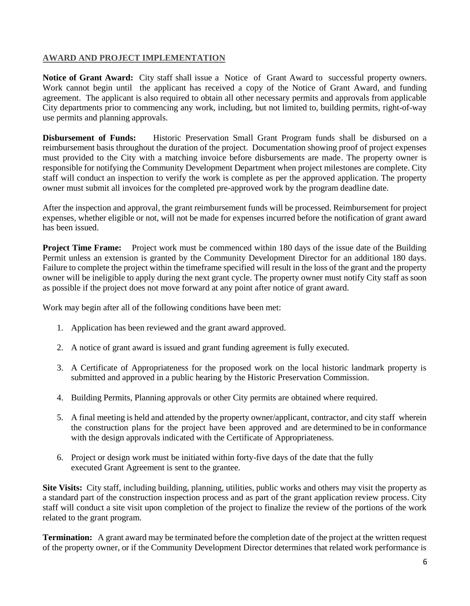## **AWARD AND PROJECT IMPLEMENTATION**

**Notice of Grant Award:** City staff shall issue a Notice of Grant Award to successful property owners. Work cannot begin until the applicant has received a copy of the Notice of Grant Award, and funding agreement. The applicant is also required to obtain all other necessary permits and approvals from applicable City departments prior to commencing any work, including, but not limited to, building permits, right-of-way use permits and planning approvals.

**Disbursement of Funds:** Historic Preservation Small Grant Program funds shall be disbursed on a reimbursement basis throughout the duration of the project. Documentation showing proof of project expenses must provided to the City with a matching invoice before disbursements are made. The property owner is responsible for notifying the Community Development Department when project milestones are complete. City staff will conduct an inspection to verify the work is complete as per the approved application. The property owner must submit all invoices for the completed pre-approved work by the program deadline date.

After the inspection and approval, the grant reimbursement funds will be processed. Reimbursement for project expenses, whether eligible or not, will not be made for expenses incurred before the notification of grant award has been issued.

**Project Time Frame:** Project work must be commenced within 180 days of the issue date of the Building Permit unless an extension is granted by the Community Development Director for an additional 180 days. Failure to complete the project within the timeframe specified will result in the loss of the grant and the property owner will be ineligible to apply during the next grant cycle. The property owner must notify City staff as soon as possible if the project does not move forward at any point after notice of grant award.

Work may begin after all of the following conditions have been met:

- 1. Application has been reviewed and the grant award approved.
- 2. A notice of grant award is issued and grant funding agreement is fully executed.
- 3. A Certificate of Appropriateness for the proposed work on the local historic landmark property is submitted and approved in a public hearing by the Historic Preservation Commission.
- 4. Building Permits, Planning approvals or other City permits are obtained where required.
- 5. A final meeting is held and attended by the property owner/applicant, contractor, and city staff wherein the construction plans for the project have been approved and are determined to be in conformance with the design approvals indicated with the Certificate of Appropriateness.
- 6. Project or design work must be initiated within forty-five days of the date that the fully executed Grant Agreement is sent to the grantee.

**Site Visits:** City staff, including building, planning, utilities, public works and others may visit the property as a standard part of the construction inspection process and as part of the grant application review process. City staff will conduct a site visit upon completion of the project to finalize the review of the portions of the work related to the grant program.

**Termination:** A grant award may be terminated before the completion date of the project at the written request of the property owner, or if the Community Development Director determines that related work performance is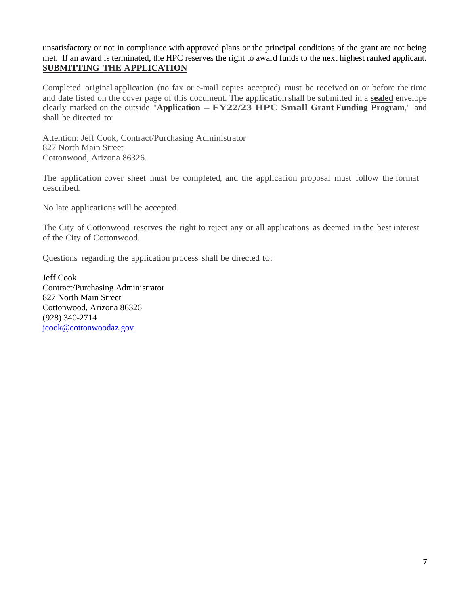unsatisfactory or not in compliance with approved plans or the principal conditions of the grant are not being met. If an award is terminated, the HPC reserves the right to award funds to the next highest ranked applicant. **SUBMITTING THE APPLICATION**

Completed original application (no fax or e-mail copies accepted) must be received on or before the time and date listed on the cover page of this document. The application shall be submitted in a **sealed** envelope clearly marked on the outside "**Application – FY22/23 HPC Small Grant Funding Program**," and shall be directed to:

Attention: Jeff Cook, Contract/Purchasing Administrator 827 North Main Street Cottonwood, Arizona 86326.

The application cover sheet must be completed, and the application proposal must follow the format described.

No late applications will be accepted.

The City of Cottonwood reserves the right to reject any or all applications as deemed in the best interest of the City of Cottonwood.

Questions regarding the application process shall be directed to:

Jeff Cook Contract/Purchasing Administrator 827 North Main Street Cottonwood, Arizona 86326 (928) 340-2714 [jcook@cottonwoodaz.gov](mailto:jcook@cottonwoodaz.gov)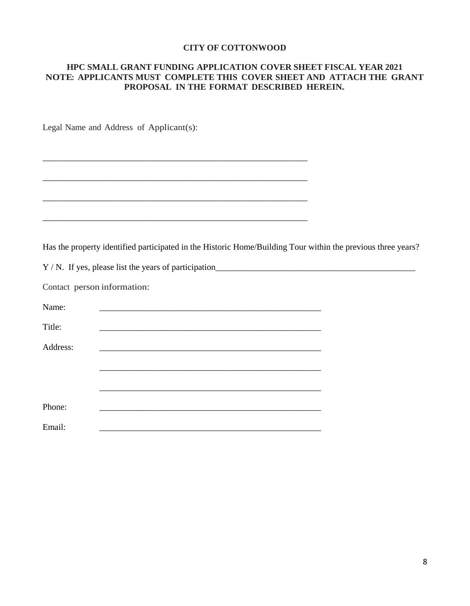#### **CITY OF COTTONWOOD**

#### **HPC SMALL GRANT FUNDING APPLICATION COVER SHEET FISCAL YEAR 2021 NOTE: APPLICANTS MUST COMPLETE THIS COVER SHEET AND ATTACH THE GRANT PROPOSAL IN THE FORMAT DESCRIBED HEREIN.**

Legal Name and Address of Applicant(s):

Has the property identified participated in the Historic Home/Building Tour within the previous three years?

Y / N. If yes, please list the years of participation\_\_\_\_\_\_\_\_\_\_\_\_\_\_\_\_\_\_\_\_\_\_\_\_\_\_\_\_\_\_\_\_\_\_\_\_\_\_\_\_\_\_\_\_\_\_

Contact person information:

\_\_\_\_\_\_\_\_\_\_\_\_\_\_\_\_\_\_\_\_\_\_\_\_\_\_\_\_\_\_\_\_\_\_\_\_\_\_\_\_\_\_\_\_\_\_\_\_\_\_\_\_\_\_\_\_\_\_\_\_\_

\_\_\_\_\_\_\_\_\_\_\_\_\_\_\_\_\_\_\_\_\_\_\_\_\_\_\_\_\_\_\_\_\_\_\_\_\_\_\_\_\_\_\_\_\_\_\_\_\_\_\_\_\_\_\_\_\_\_\_\_\_

\_\_\_\_\_\_\_\_\_\_\_\_\_\_\_\_\_\_\_\_\_\_\_\_\_\_\_\_\_\_\_\_\_\_\_\_\_\_\_\_\_\_\_\_\_\_\_\_\_\_\_\_\_\_\_\_\_\_\_\_\_